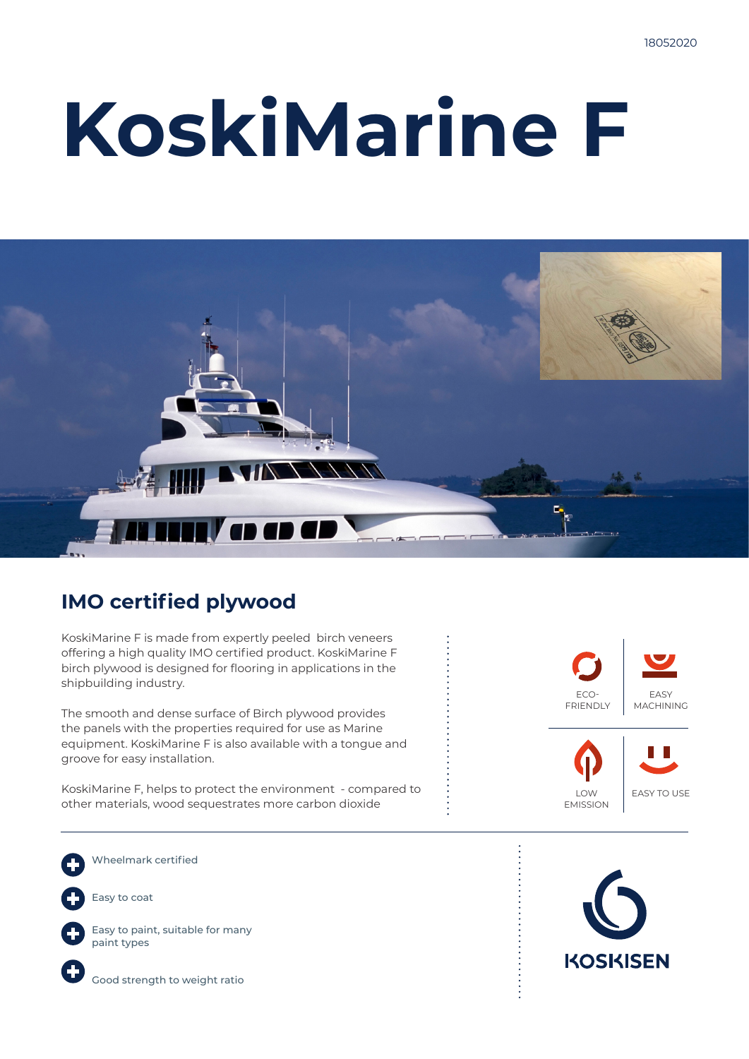# **KoskiMarine F**



### **IMO certified plywood**

KoskiMarine F is made from expertly peeled birch veneers offering a high quality IMO certified product. KoskiMarine F birch plywood is designed for flooring in applications in the shipbuilding industry.

The smooth and dense surface of Birch plywood provides the panels with the properties required for use as Marine equipment. KoskiMarine F is also available with a tongue and groove for easy installation.

KoskiMarine F, helps to protect the environment - compared to other materials, wood sequestrates more carbon dioxide

Wheelmark certified Easy to coat



Easy to paint, suitable for many paint types



Good strength to weight ratio